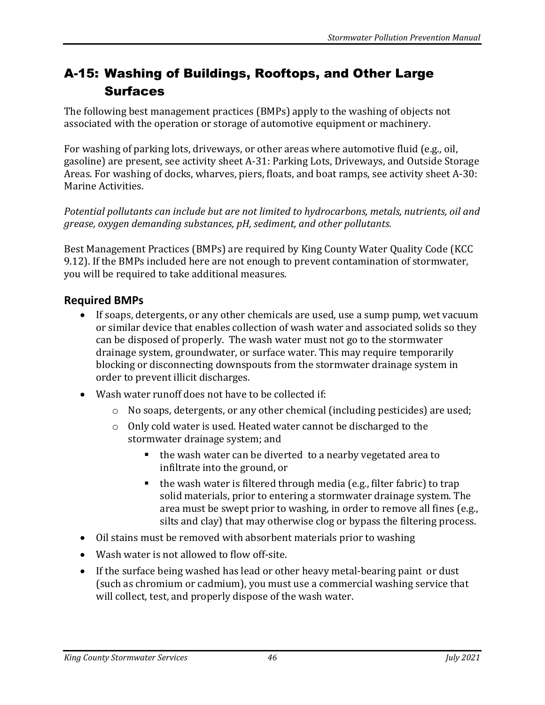## A-15: Washing of Buildings, Rooftops, and Other Large **Surfaces**

The following best management practices (BMPs) apply to the washing of objects not associated with the operation or storage of automotive equipment or machinery.

For washing of parking lots, driveways, or other areas where automotive fluid (e.g., oil, gasoline) are present, see activity sheet A-31: Parking Lots, Driveways, and Outside Storage Areas. For washing of docks, wharves, piers, floats, and boat ramps, see activity sheet A-30: Marine Activities.

*Potential pollutants can include but are not limited to hydrocarbons, metals, nutrients, oil and grease, oxygen demanding substances, pH, sediment, and other pollutants.*

Best Management Practices (BMPs) are required by King County Water Quality Code (KCC 9.12). If the BMPs included here are not enough to prevent contamination of stormwater, you will be required to take additional measures.

## **Required BMPs**

- If soaps, detergents, or any other chemicals are used, use a sump pump, wet vacuum or similar device that enables collection of wash water and associated solids so they can be disposed of properly. The wash water must not go to the stormwater drainage system, groundwater, or surface water. This may require temporarily blocking or disconnecting downspouts from the stormwater drainage system in order to prevent illicit discharges.
- Wash water runoff does not have to be collected if:
	- o No soaps, detergents, or any other chemical (including pesticides) are used;
	- o Only cold water is used. Heated water cannot be discharged to the stormwater drainage system; and
		- the wash water can be diverted to a nearby vegetated area to infiltrate into the ground, or
		- $\blacksquare$  the wash water is filtered through media (e.g., filter fabric) to trap solid materials, prior to entering a stormwater drainage system. The area must be swept prior to washing, in order to remove all fines (e.g., silts and clay) that may otherwise clog or bypass the filtering process.
- Oil stains must be removed with absorbent materials prior to washing
- Wash water is not allowed to flow off-site.
- If the surface being washed has lead or other heavy metal-bearing paint or dust (such as chromium or cadmium), you must use a commercial washing service that will collect, test, and properly dispose of the wash water.